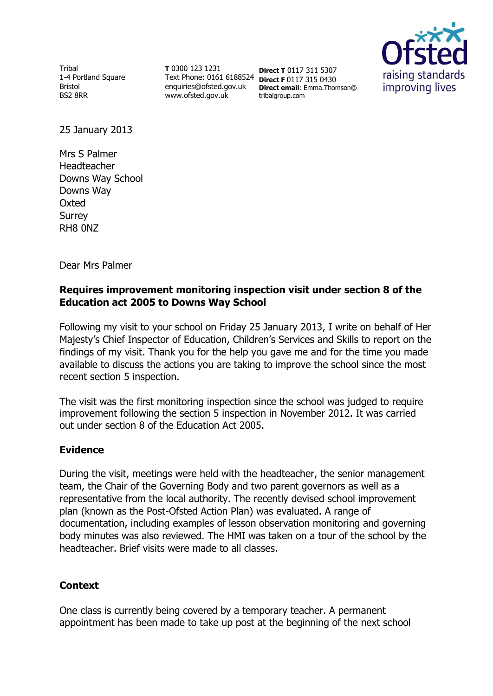Tribal 1-4 Portland Square Bristol BS2 8RR

**T** 0300 123 1231 Text Phone: 0161 6188524 **Direct F** 0117 315 0430 enquiries@ofsted.gov.uk www.ofsted.gov.uk

**Direct T** 0117 311 5307 **Direct email**: Emma.Thomson@ tribalgroup.com



25 January 2013

Mrs S Palmer Headteacher Downs Way School Downs Way **Oxted Surrey** RH8 0NZ

Dear Mrs Palmer

### **Requires improvement monitoring inspection visit under section 8 of the Education act 2005 to Downs Way School**

Following my visit to your school on Friday 25 January 2013, I write on behalf of Her Majesty's Chief Inspector of Education, Children's Services and Skills to report on the findings of my visit. Thank you for the help you gave me and for the time you made available to discuss the actions you are taking to improve the school since the most recent section 5 inspection.

The visit was the first monitoring inspection since the school was judged to require improvement following the section 5 inspection in November 2012. It was carried out under section 8 of the Education Act 2005.

### **Evidence**

During the visit, meetings were held with the headteacher, the senior management team, the Chair of the Governing Body and two parent governors as well as a representative from the local authority. The recently devised school improvement plan (known as the Post-Ofsted Action Plan) was evaluated. A range of documentation, including examples of lesson observation monitoring and governing body minutes was also reviewed. The HMI was taken on a tour of the school by the headteacher. Brief visits were made to all classes.

### **Context**

One class is currently being covered by a temporary teacher. A permanent appointment has been made to take up post at the beginning of the next school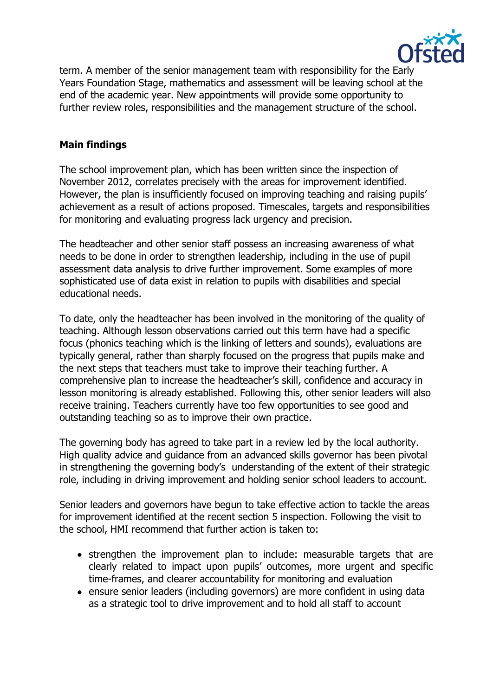

term. A member of the senior management team with responsibility for the Early Years Foundation Stage, mathematics and assessment will be leaving school at the end of the academic year. New appointments will provide some opportunity to further review roles, responsibilities and the management structure of the school.

# **Main findings**

The school improvement plan, which has been written since the inspection of November 2012, correlates precisely with the areas for improvement identified. However, the plan is insufficiently focused on improving teaching and raising pupils' achievement as a result of actions proposed. Timescales, targets and responsibilities for monitoring and evaluating progress lack urgency and precision.

The headteacher and other senior staff possess an increasing awareness of what needs to be done in order to strengthen leadership, including in the use of pupil assessment data analysis to drive further improvement. Some examples of more sophisticated use of data exist in relation to pupils with disabilities and special educational needs.

To date, only the headteacher has been involved in the monitoring of the quality of teaching. Although lesson observations carried out this term have had a specific focus (phonics teaching which is the linking of letters and sounds), evaluations are typically general, rather than sharply focused on the progress that pupils make and the next steps that teachers must take to improve their teaching further. A comprehensive plan to increase the headteacher's skill, confidence and accuracy in lesson monitoring is already established. Following this, other senior leaders will also receive training. Teachers currently have too few opportunities to see good and outstanding teaching so as to improve their own practice.

The governing body has agreed to take part in a review led by the local authority. High quality advice and guidance from an advanced skills governor has been pivotal in strengthening the governing body's understanding of the extent of their strategic role, including in driving improvement and holding senior school leaders to account.

Senior leaders and governors have begun to take effective action to tackle the areas for improvement identified at the recent section 5 inspection. Following the visit to the school, HMI recommend that further action is taken to:

- strengthen the improvement plan to include: measurable targets that are clearly related to impact upon pupils' outcomes, more urgent and specific time-frames, and clearer accountability for monitoring and evaluation
- ensure senior leaders (including governors) are more confident in using data as a strategic tool to drive improvement and to hold all staff to account